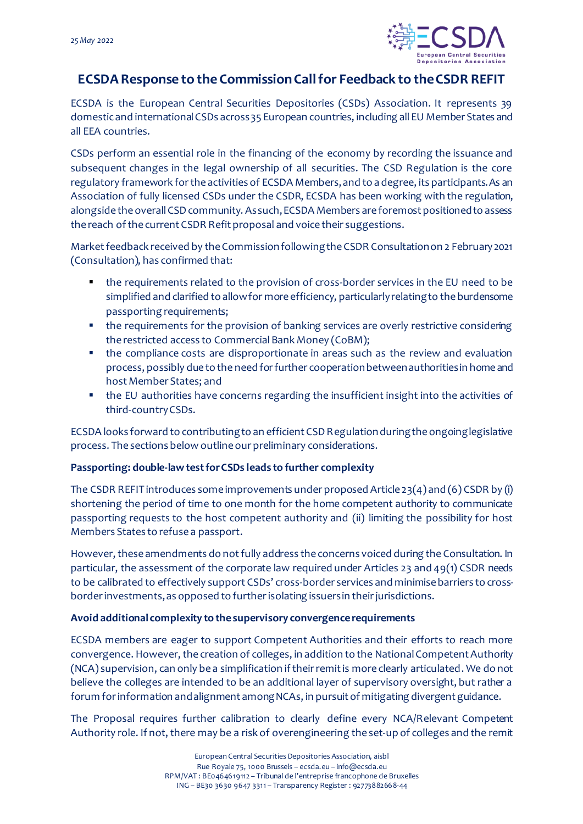

# **ECSDA Response to the Commission Call for Feedback to the CSDR REFIT**

ECSDA is the European Central Securities Depositories (CSDs) Association. It represents 39 domestic and international CSDs across 35 European countries, including all EU Member States and all EEA countries.

CSDs perform an essential role in the financing of the economy by recording the issuance and subsequent changes in the legal ownership of all securities. The CSD Regulation is the core regulatory framework for the activities of ECSDA Members, and to a degree, its participants. As an Association of fully licensed CSDs under the CSDR, ECSDA has been working with the regulation, alongside the overall CSD community. As such, ECSDA Members are foremost positioned to assess the reach of the current CSDR Refit proposal and voice their suggestions.

Market feedback received by the Commission following theCSDR Consultation on 2 February 2021 (Consultation), has confirmed that:

- the requirements related to the provision of cross-border services in the EU need to be simplified and clarified to allow for more efficiency, particularly relating to the burdensome passporting requirements;
- the requirements for the provision of banking services are overly restrictive considering the restricted access to Commercial Bank Money (CoBM);
- the compliance costs are disproportionate in areas such as the review and evaluation process, possibly due to the need for further cooperation between authorities in home and host Member States; and
- the EU authorities have concerns regarding the insufficient insight into the activities of third-country CSDs.

ECSDA looks forward to contributing to an efficient CSD Regulationduring the ongoing legislative process. The sections below outline our preliminary considerations.

# **Passporting: double-law test for CSDs leads to further complexity**

The CSDR REFIT introduces some improvements under proposed Article 23(4) and (6) CSDR by (i) shortening the period of time to one month for the home competent authority to communicate passporting requests to the host competent authority and (ii) limiting the possibility for host Members States to refuse a passport.

However, these amendments do not fully address the concerns voiced during the Consultation. In particular, the assessment of the corporate law required under Articles 23 and 49(1) CSDR needs to be calibrated to effectively support CSDs' cross-border services and minimise barriers to crossborder investments,as opposed to further isolating issuers in their jurisdictions.

# **Avoid additional complexity to the supervisory convergence requirements**

ECSDA members are eager to support Competent Authorities and their efforts to reach more convergence. However, the creation of colleges, in addition to the National Competent Authority (NCA) supervision, can only be a simplification if their remit is more clearly articulated. We do not believe the colleges are intended to be an additional layer of supervisory oversight, but rather a forum for information and alignment among NCAs, in pursuit of mitigating divergent guidance.

The Proposal requires further calibration to clearly define every NCA/Relevant Competent Authority role. If not, there may be a risk of overengineering the set-up of colleges and the remit